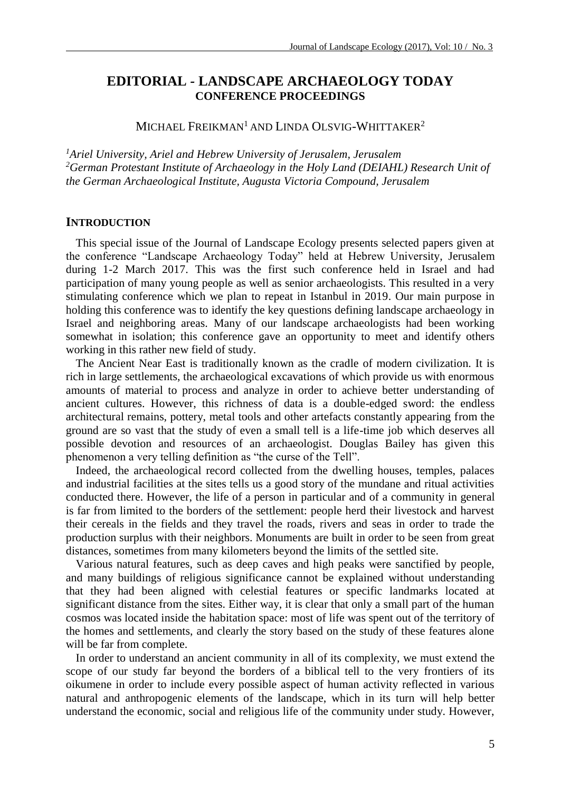# **EDITORIAL** *-* **LANDSCAPE ARCHAEOLOGY TODAY CONFERENCE PROCEEDINGS**

MICHAEL FREIKMAN<sup>1</sup> AND LINDA OLSVIG-WHITTAKER<sup>2</sup>

*<sup>1</sup>Ariel University, Ariel and Hebrew University of Jerusalem, Jerusalem <sup>2</sup>German Protestant Institute of Archaeology in the Holy Land (DEIAHL) Research Unit of the German Archaeological Institute, Augusta Victoria Compound, Jerusalem*

### **INTRODUCTION**

This special issue of the Journal of Landscape Ecology presents selected papers given at the conference "Landscape Archaeology Today" held at Hebrew University, Jerusalem during 1-2 March 2017. This was the first such conference held in Israel and had participation of many young people as well as senior archaeologists. This resulted in a very stimulating conference which we plan to repeat in Istanbul in 2019. Our main purpose in holding this conference was to identify the key questions defining landscape archaeology in Israel and neighboring areas. Many of our landscape archaeologists had been working somewhat in isolation; this conference gave an opportunity to meet and identify others working in this rather new field of study.

The Ancient Near East is traditionally known as the cradle of modern civilization. It is rich in large settlements, the archaeological excavations of which provide us with enormous amounts of material to process and analyze in order to achieve better understanding of ancient cultures. However, this richness of data is a double-edged sword: the endless architectural remains, pottery, metal tools and other artefacts constantly appearing from the ground are so vast that the study of even a small tell is a life-time job which deserves all possible devotion and resources of an archaeologist. Douglas Bailey has given this phenomenon a very telling definition as "the curse of the Tell".

Indeed, the archaeological record collected from the dwelling houses, temples, palaces and industrial facilities at the sites tells us a good story of the mundane and ritual activities conducted there. However, the life of a person in particular and of a community in general is far from limited to the borders of the settlement: people herd their livestock and harvest their cereals in the fields and they travel the roads, rivers and seas in order to trade the production surplus with their neighbors. Monuments are built in order to be seen from great distances, sometimes from many kilometers beyond the limits of the settled site.

Various natural features, such as deep caves and high peaks were sanctified by people, and many buildings of religious significance cannot be explained without understanding that they had been aligned with celestial features or specific landmarks located at significant distance from the sites. Either way, it is clear that only a small part of the human cosmos was located inside the habitation space: most of life was spent out of the territory of the homes and settlements, and clearly the story based on the study of these features alone will be far from complete.

In order to understand an ancient community in all of its complexity, we must extend the scope of our study far beyond the borders of a biblical tell to the very frontiers of its oikumene in order to include every possible aspect of human activity reflected in various natural and anthropogenic elements of the landscape, which in its turn will help better understand the economic, social and religious life of the community under study. However,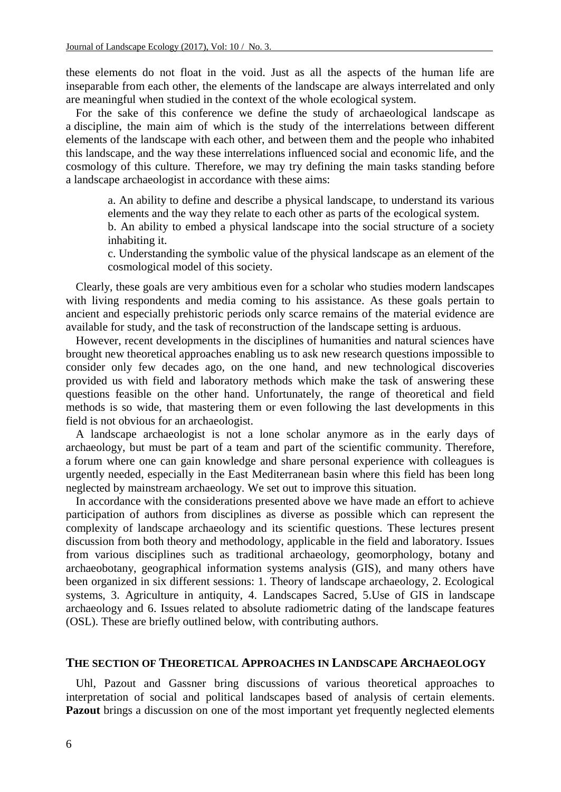these elements do not float in the void. Just as all the aspects of the human life are inseparable from each other, the elements of the landscape are always interrelated and only are meaningful when studied in the context of the whole ecological system.

For the sake of this conference we define the study of archaeological landscape as a discipline, the main aim of which is the study of the interrelations between different elements of the landscape with each other, and between them and the people who inhabited this landscape, and the way these interrelations influenced social and economic life, and the cosmology of this culture. Therefore, we may try defining the main tasks standing before a landscape archaeologist in accordance with these aims:

a. An ability to define and describe a physical landscape, to understand its various elements and the way they relate to each other as parts of the ecological system.

b. An ability to embed a physical landscape into the social structure of a society inhabiting it.

c. Understanding the symbolic value of the physical landscape as an element of the cosmological model of this society.

Clearly, these goals are very ambitious even for a scholar who studies modern landscapes with living respondents and media coming to his assistance. As these goals pertain to ancient and especially prehistoric periods only scarce remains of the material evidence are available for study, and the task of reconstruction of the landscape setting is arduous.

However, recent developments in the disciplines of humanities and natural sciences have brought new theoretical approaches enabling us to ask new research questions impossible to consider only few decades ago, on the one hand, and new technological discoveries provided us with field and laboratory methods which make the task of answering these questions feasible on the other hand. Unfortunately, the range of theoretical and field methods is so wide, that mastering them or even following the last developments in this field is not obvious for an archaeologist.

A landscape archaeologist is not a lone scholar anymore as in the early days of archaeology, but must be part of a team and part of the scientific community. Therefore, a forum where one can gain knowledge and share personal experience with colleagues is urgently needed, especially in the East Mediterranean basin where this field has been long neglected by mainstream archaeology. We set out to improve this situation.

In accordance with the considerations presented above we have made an effort to achieve participation of authors from disciplines as diverse as possible which can represent the complexity of landscape archaeology and its scientific questions. These lectures present discussion from both theory and methodology, applicable in the field and laboratory. Issues from various disciplines such as traditional archaeology, geomorphology, botany and archaeobotany, geographical information systems analysis (GIS), and many others have been organized in six different sessions: 1. Theory of landscape archaeology, 2. Ecological systems, 3. Agriculture in antiquity, 4. Landscapes Sacred, 5.Use of GIS in landscape archaeology and 6. Issues related to absolute radiometric dating of the landscape features (OSL). These are briefly outlined below, with contributing authors.

#### **THE SECTION OF THEORETICAL APPROACHES IN LANDSCAPE ARCHAEOLOGY**

Uhl, Pazout and Gassner bring discussions of various theoretical approaches to interpretation of social and political landscapes based of analysis of certain elements. **Pazout** brings a discussion on one of the most important yet frequently neglected elements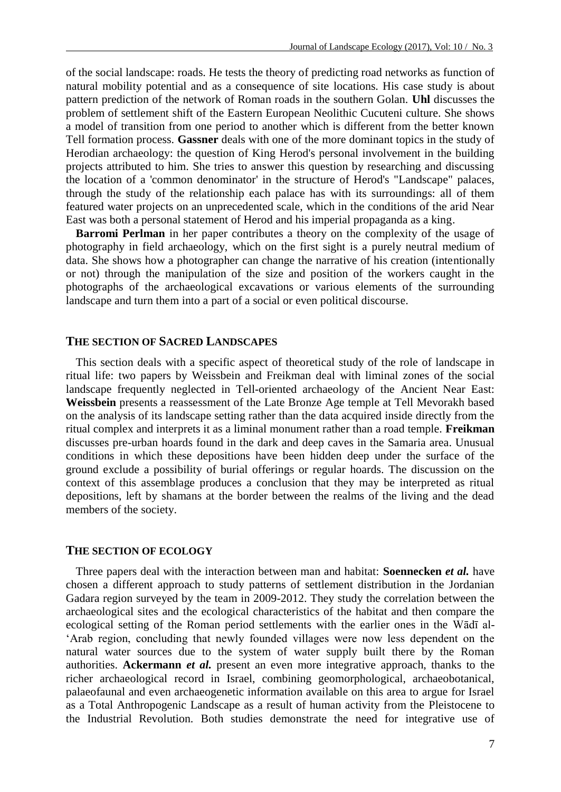of the social landscape: roads. He tests the theory of predicting road networks as function of natural mobility potential and as a consequence of site locations. His case study is about pattern prediction of the network of Roman roads in the southern Golan. **Uhl** discusses the problem of settlement shift of the Eastern European Neolithic Cucuteni culture. She shows a model of transition from one period to another which is different from the better known Tell formation process. **Gassner** deals with one of the more dominant topics in the study of Herodian archaeology: the question of King Herod's personal involvement in the building projects attributed to him. She tries to answer this question by researching and discussing the location of a 'common denominator' in the structure of Herod's "Landscape" palaces, through the study of the relationship each palace has with its surroundings: all of them featured water projects on an unprecedented scale, which in the conditions of the arid Near East was both a personal statement of Herod and his imperial propaganda as a king.

**Barromi Perlman** in her paper contributes a theory on the complexity of the usage of photography in field archaeology, which on the first sight is a purely neutral medium of data. She shows how a photographer can change the narrative of his creation (intentionally or not) through the manipulation of the size and position of the workers caught in the photographs of the archaeological excavations or various elements of the surrounding landscape and turn them into a part of a social or even political discourse.

### **THE SECTION OF SACRED LANDSCAPES**

This section deals with a specific aspect of theoretical study of the role of landscape in ritual life: two papers by Weissbein and Freikman deal with liminal zones of the social landscape frequently neglected in Tell-oriented archaeology of the Ancient Near East: **Weissbein** presents a reassessment of the Late Bronze Age temple at Tell Mevorakh based on the analysis of its landscape setting rather than the data acquired inside directly from the ritual complex and interprets it as a liminal monument rather than a road temple. **Freikman** discusses pre-urban hoards found in the dark and deep caves in the Samaria area. Unusual conditions in which these depositions have been hidden deep under the surface of the ground exclude a possibility of burial offerings or regular hoards. The discussion on the context of this assemblage produces a conclusion that they may be interpreted as ritual depositions, left by shamans at the border between the realms of the living and the dead members of the society.

#### **THE SECTION OF ECOLOGY**

Three papers deal with the interaction between man and habitat: **Soennecken** *et al.* have chosen a different approach to study patterns of settlement distribution in the Jordanian Gadara region surveyed by the team in 2009-2012. They study the correlation between the archaeological sites and the ecological characteristics of the habitat and then compare the ecological setting of the Roman period settlements with the earlier ones in the Wādī al- 'Arab region, concluding that newly founded villages were now less dependent on the natural water sources due to the system of water supply built there by the Roman authorities. **Ackermann** *et al.* present an even more integrative approach, thanks to the richer archaeological record in Israel, combining geomorphological, archaeobotanical, palaeofaunal and even archaeogenetic information available on this area to argue for Israel as a Total Anthropogenic Landscape as a result of human activity from the Pleistocene to the Industrial Revolution. Both studies demonstrate the need for integrative use of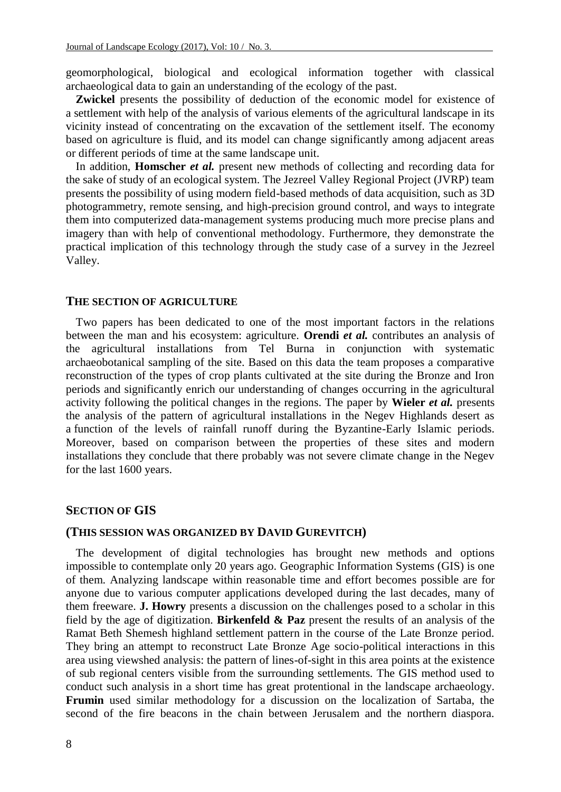geomorphological, biological and ecological information together with classical archaeological data to gain an understanding of the ecology of the past.

**Zwickel** presents the possibility of deduction of the economic model for existence of a settlement with help of the analysis of various elements of the agricultural landscape in its vicinity instead of concentrating on the excavation of the settlement itself. The economy based on agriculture is fluid, and its model can change significantly among adjacent areas or different periods of time at the same landscape unit.

In addition, **Homscher** *et al.* present new methods of collecting and recording data for the sake of study of an ecological system. The Jezreel Valley Regional Project (JVRP) team presents the possibility of using modern field-based methods of data acquisition, such as 3D photogrammetry, remote sensing, and high-precision ground control, and ways to integrate them into computerized data-management systems producing much more precise plans and imagery than with help of conventional methodology. Furthermore, they demonstrate the practical implication of this technology through the study case of a survey in the Jezreel Valley.

#### **THE SECTION OF AGRICULTURE**

Two papers has been dedicated to one of the most important factors in the relations between the man and his ecosystem: agriculture. **Orendi** *et al.* contributes an analysis of the agricultural installations from Tel Burna in conjunction with systematic archaeobotanical sampling of the site. Based on this data the team proposes a comparative reconstruction of the types of crop plants cultivated at the site during the Bronze and Iron periods and significantly enrich our understanding of changes occurring in the agricultural activity following the political changes in the regions. The paper by **Wieler** *et al.* presents the analysis of the pattern of agricultural installations in the Negev Highlands desert as a function of the levels of rainfall runoff during the Byzantine-Early Islamic periods. Moreover, based on comparison between the properties of these sites and modern installations they conclude that there probably was not severe climate change in the Negev for the last 1600 years.

### **SECTION OF GIS**

#### **(THIS SESSION WAS ORGANIZED BY DAVID GUREVITCH)**

The development of digital technologies has brought new methods and options impossible to contemplate only 20 years ago. Geographic Information Systems (GIS) is one of them. Analyzing landscape within reasonable time and effort becomes possible are for anyone due to various computer applications developed during the last decades, many of them freeware. **J. Howry** presents a discussion on the challenges posed to a scholar in this field by the age of digitization. **Birkenfeld & Paz** present the results of an analysis of the Ramat Beth Shemesh highland settlement pattern in the course of the Late Bronze period. They bring an attempt to reconstruct Late Bronze Age socio-political interactions in this area using viewshed analysis: the pattern of lines-of-sight in this area points at the existence of sub regional centers visible from the surrounding settlements. The GIS method used to conduct such analysis in a short time has great protentional in the landscape archaeology. **Frumin** used similar methodology for a discussion on the localization of Sartaba, the second of the fire beacons in the chain between Jerusalem and the northern diaspora.